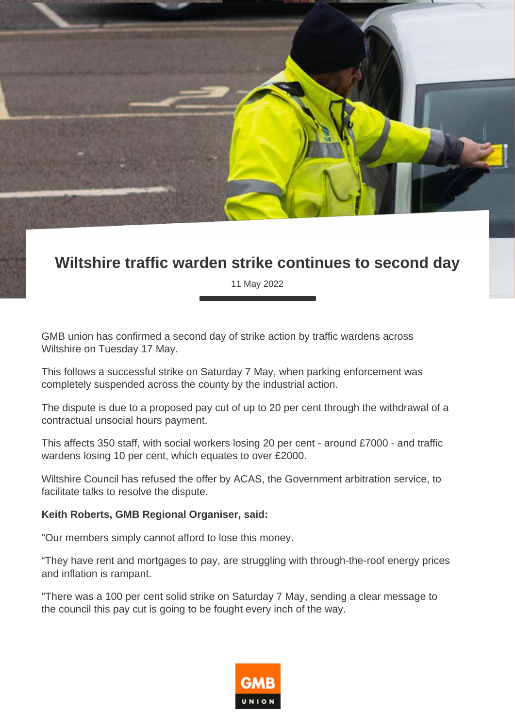## **Wiltshire traffic warden strike continues to second day**

11 May 2022

GMB union has confirmed a second day of strike action by traffic wardens across Wiltshire on Tuesday 17 May.

This follows a successful strike on Saturday 7 May, when parking enforcement was completely suspended across the county by the industrial action.

The dispute is due to a proposed pay cut of up to 20 per cent through the withdrawal of a contractual unsocial hours payment.

This affects 350 staff, with social workers losing 20 per cent - around £7000 - and traffic wardens losing 10 per cent, which equates to over £2000.

Wiltshire Council has refused the offer by ACAS, the Government arbitration service, to facilitate talks to resolve the dispute.

## **Keith Roberts, GMB Regional Organiser, said:**

"Our members simply cannot afford to lose this money.

"They have rent and mortgages to pay, are struggling with through-the-roof energy prices and inflation is rampant.

"There was a 100 per cent solid strike on Saturday 7 May, sending a clear message to the council this pay cut is going to be fought every inch of the way.